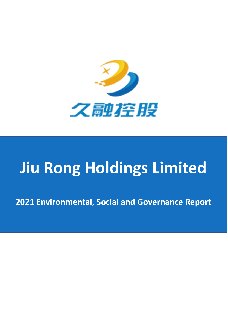

# **Jiu Rong Holdings Limited**

**2021 Environmental, Social and Governance Report**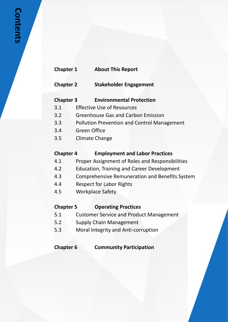# **Chapter 2 Stakeholder Engagement**

- **Chapter 3 Environmental Protection**
- 3.1 Effective Use of Resources
- 3.2 Greenhouse Gas and Carbon Emission
- 3.3 Pollution Prevention and Control Management
- 3.4 Green Office
- 3.5 Climate Change

# **Chapter 4 Employment and Labor Practices**

- 4.1 Proper Assignment of Roles and Responsibilities
- 4.2 Education, Training and Career Development
- 4.3 Comprehensive Remuneration and Benefits System
- 4.4 Respect for Labor Rights
- 4.5 Workplace Safety

# **Chapter 5 Operating Practices**

- 5.1 Customer Service and Product Management
- 5.2 Supply Chain Management
- 5.3 Moral Integrity and Anti-corruption

# **Chapter 6 Community Participation**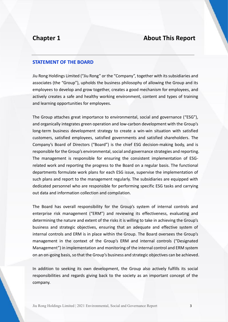### **STATEMENT OF THE BOARD**

Jiu Rong Holdings Limited ("Jiu Rong" or the "Company", together with its subsidiaries and associates (the "Group"), upholds the business philosophy of allowing the Group and its employees to develop and grow together, creates a good mechanism for employees, and actively creates a safe and healthy working environment, content and types of training and learning opportunities for employees.

The Group attaches great importance to environmental, social and governance ("ESG"), and organically integrates green operation and low-carbon development with the Group's long-term business development strategy to create a win-win situation with satisfied customers, satisfied employees, satisfied governments and satisfied shareholders. The Company's Board of Directors ("Board") is the chief ESG decision-making body, and is responsible for the Group's environmental, social and governance strategies and reporting. The management is responsible for ensuring the consistent implementation of ESGrelated work and reporting the progress to the Board on a regular basis. The functional departments formulate work plans for each ESG issue, supervise the implementation of such plans and report to the management regularly. The subsidiaries are equipped with dedicated personnel who are responsible for performing specific ESG tasks and carrying out data and information collection and compilation.

The Board has overall responsibility for the Group's system of internal controls and enterprise risk management ("ERM") and reviewing its effectiveness, evaluating and determining the nature and extent of the risks it is willing to take in achieving the Group's business and strategic objectives, ensuring that an adequate and effective system of internal controls and ERM is in place within the Group. The Board oversees the Group's management in the context of the Group's ERM and internal controls ("Designated Management") in implementation and monitoring of the internal control and ERM system on an on-going basis, so that the Group's business and strategic objectives can be achieved.

In addition to seeking its own development, the Group also actively fulfills its social responsibilities and regards giving back to the society as an important concept of the company.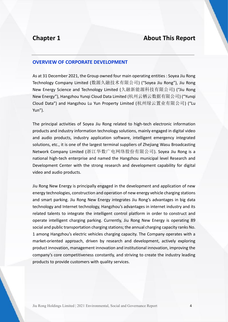#### **OVERVIEW OF CORPORATE DEVELOPMENT**

As at 31 December 2021, the Group owned four main operating entities : Soyea Jiu Rong Technology Company Limited (数源久融技术有限公司) ("Soyea Jiu Rong"), Jiu Rong New Energy Science and Technology Limited (久融新能源科技有限公司) ("Jiu Rong New Energy"), Hangzhou Yunqi Cloud Data Limited (杭州云栖云数据有限公司) ("Yunqi Cloud Data") and Hangzhou Lu Yun Property Limited (杭州绿云置业有限公司) ("Lu Yun").

The principal activities of Soyea Jiu Rong related to high-tech electronic information products and industry information technology solutions, mainly engaged in digital video and audio products, industry application software, intelligent emergency integrated solutions, etc., it is one of the largest terminal suppliers of Zhejiang Wasu Broadcasting Network Company Limited (浙江华数广电网络股份有限公司). Soyea Jiu Rong is a national high-tech enterprise and named the Hangzhou municipal level Research and Development Center with the strong research and development capability for digital video and audio products.

Jiu Rong New Energy is principally engaged in the development and application of new energy technologies, construction and operation of new energy vehicle charging stations and smart parking. Jiu Rong New Energy integrates Jiu Rong's advantages in big data technology and Internet technology, Hangzhou's advantages in internet industry and its related talents to integrate the intelligent control platform in order to construct and operate intelligent charging parking. Currently, Jiu Rong New Energy is operating 89 social and public transportation charging stations; the annual charging capacity ranks No. 1 among Hangzhou's electric vehicles charging capacity. The Company operates with a market-oriented approach, driven by research and development, actively exploring product innovation, management innovation and institutional innovation, improving the company's core competitiveness constantly, and striving to create the industry leading products to provide customers with quality services.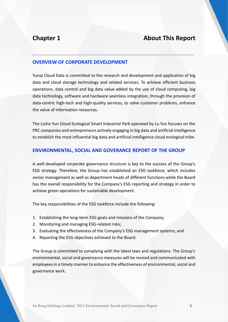### **OVERVIEW OF CORPORATE DEVELOPMENT**

Yunqi Cloud Data is committed to the research and development and application of big data and cloud storage technology and related services. To achieve efficient business operations, data control and big data value-added by the use of cloud computing, big data technology, software and hardware seamless integration, through the provision of data-centric high-tech and high-quality services, to solve customer problems, enhance the value of information resources.

The Liuhe Yun Cloud Ecological Smart Industrial Park operated by Lu Yun focuses on the PRC companies and entrepreneurs actively engaging in big data and artificial intelligence to establish the most influential big data and artificial intelligence cloud ecological tribe.

### **ENVIRONMENTAL, SOCIAL AND GOVERANCE REPORT OF THE GROUP**

A well-developed corporate governance structure is key to the success of the Group's ESG strategy. Therefore, the Group has established an ESG taskforce, which includes senior management as well as department heads of different functions while the Board has the overall responsibility for the Company's ESG reporting and strategy in order to achieve green operations for sustainable development.

The key responsibilities of the ESG taskforce include the following:

- 1. Establishing the long-term ESG goals and missions of the Company;
- 2. Monitoring and managing ESG-related risks;
- 3. Evaluating the effectiveness of the Company's ESG management systems; and
- 4. Reporting the ESG objectives achieved to the Board.

The Group is committed to complying with the latest laws and regulations. The Group's environmental, social and governance measures will be revised and communicated with employees in a timely manner to enhance the effectiveness of environmental, social and governance work.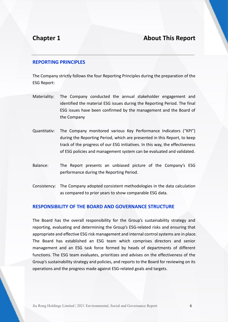### **REPORTING PRINCIPLES**

The Company strictly follows the four Reporting Principles during the preparation of the ESG Report:

- Materiality: The Company conducted the annual stakeholder engagement and identified the material ESG issues during the Reporting Period. The final ESG issues have been confirmed by the management and the Board of the Company
- Quantitativ: The Company monitored various Key Performance Indicators ("KPI") during the Reporting Period, which are presented in this Report, to keep track of the progress of our ESG initiatives. In this way, the effectiveness of ESG policies and management system can be evaluated and validated.
- Balance: The Report presents an unbiased picture of the Company's ESG performance during the Reporting Period.
- Consistency: The Company adopted consistent methodologies in the data calculation as compared to prior years to show comparable ESG data.

### **RESPONSIBILITY OF THE BOARD AND GOVERNANCE STRUCTURE**

The Board has the overall responsibility for the Group's sustainability strategy and reporting, evaluating and determining the Group's ESG-related risks and ensuring that appropriate and effective ESG risk management and internal control systems are in place. The Board has established an ESG team which comprises directors and senior management and an ESG task force formed by heads of departments of different functions. The ESG team evaluates, prioritizes and advises on the effectiveness of the Group's sustainability strategy and policies, and reports to the Board for reviewing on its operations and the progress made against ESG-related goals and targets.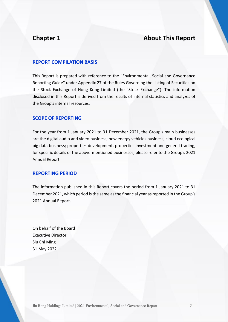### **REPORT COMPILATION BASIS**

This Report is prepared with reference to the "Environmental, Social and Governance Reporting Guide" under Appendix 27 of the Rules Governing the Listing of Securities on the Stock Exchange of Hong Kong Limited (the "Stock Exchange"). The information disclosed in this Report is derived from the results of internal statistics and analyzes of the Group's internal resources.

### **SCOPE OF REPORTING**

For the year from 1 January 2021 to 31 December 2021, the Group's main businesses are the digital audio and video business; new energy vehicles business; cloud ecological big data business; properties development, properties investment and general trading, for specific details of the above-mentioned businesses, please refer to the Group's 2021 Annual Report.

### **REPORTING PERIOD**

The information published in this Report covers the period from 1 January 2021 to 31 December 2021, which period is the same as the financial year as reported in the Group's 2021 Annual Report.

On behalf of the Board Executive Director Siu Chi Ming 31 May 2022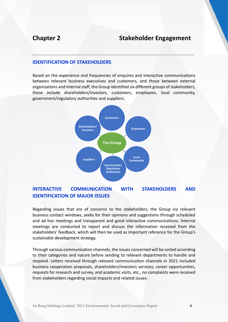# **Chapter 2 Stakeholder Engagement**

### **IDENTIFICATION OF STAKEHOLDERS**

Based on the experience and frequencies of enquires and interactive communications between relevant business executives and customers, and those between external organizations and internal staff, the Group identified six different groups of stakeholders, these include shareholders/investors, customers, employees, local community, government/regulatory authorities and suppliers.



### **INTERACTIVE COMMUNICATION WITH STAKEHOLDERS AND IDENTIFICATION OF MAJOR ISSUES**

Regarding issues that are of concerns to the stakeholders, the Group via relevant business contact windows, seeks for their opinions and suggestions through scheduled and ad hoc meetings and transparent and good interactive communications. Internal meetings are conducted to report and discuss the information received from the stakeholders' feedback, which will then be used as important reference for the Group's sustainable development strategy.

Through various communication channels, the issues concerned will be sorted according to their categories and nature before sending to relevant departments to handle and respond. Letters received through relevant communication channels in 2021 included business cooperation proposals, shareholders/investors services, career opportunities, requests for research and survey, and academic visits, etc., no complaints were received from stakeholders regarding social impacts and related issues.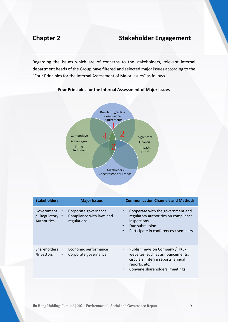# **Chapter 2 Stakeholder Engagement**

Regarding the issues which are of concerns to the stakeholders, relevant internal department heads of the Group have filtered and selected major issues according to the "Four Principles for the Internal Assessment of Major Issues" as follows.



#### **Four Principles for the Internal Assessment of Major Issues**

| <b>Stakeholders</b>                     | <b>Major Issues</b>                                                          | <b>Communication Channels and Methods</b>                                                                                                                                      |
|-----------------------------------------|------------------------------------------------------------------------------|--------------------------------------------------------------------------------------------------------------------------------------------------------------------------------|
| Government<br>Regulatory<br>Authorities | Corporate governance<br>Compliance with laws and<br>$\bullet$<br>regulations | Cooperate with the government and<br>regulatory authorities on compliance<br>inspections<br>Due submission<br>Participate in conferences / seminars<br>$\bullet$               |
| Shareholders •<br>/Investors            | Economic performance<br>Corporate governance<br>$\bullet$                    | Publish news on Company / HKEx<br>٠<br>websites (such as announcements,<br>circulars, interim reports, annual<br>reports, etc.)<br>Convene shareholders' meetings<br>$\bullet$ |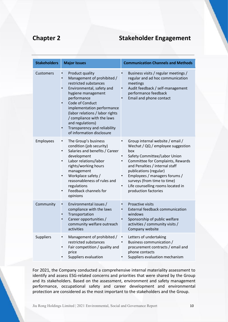# **Chapter 2 Stakeholder Engagement**

| <b>Stakeholders</b> | <b>Major Issues</b>                                                                                                                                                                                                                                                                                                                         | <b>Communication Channels and Methods</b>                                                                                                                                                                                                                                                                                                               |
|---------------------|---------------------------------------------------------------------------------------------------------------------------------------------------------------------------------------------------------------------------------------------------------------------------------------------------------------------------------------------|---------------------------------------------------------------------------------------------------------------------------------------------------------------------------------------------------------------------------------------------------------------------------------------------------------------------------------------------------------|
| Customers           | Product quality<br>Management of prohibited /<br>restricted substances<br>Environmental, safety and<br>hygiene management<br>performance<br>Code of Conduct<br>implementation performance<br>(labor relations / labor rights<br>/ compliance with the laws<br>and regulations)<br>Transparency and reliability<br>of information disclosure | Business visits / regular meetings /<br>regular and ad hoc communication<br>meetings<br>Audit feedback / self-management<br>performance feedback<br>Email and phone contact                                                                                                                                                                             |
| Employees           | The Group's business<br>$\bullet$<br>condition (job security)<br>Salaries and benefits / Career<br>$\bullet$<br>development<br>Labor relations/labor<br>$\bullet$<br>rights/working hours<br>management<br>Workplace safety /<br>$\bullet$<br>reasonableness of rules and<br>regulations<br>Feedback channels for<br>opinions               | Group internal website / email /<br>Wechat / QQ / employee suggestion<br>box<br>Safety Committee/Labor Union<br>Committee for Complaints, Rewards<br>and Penalties / internal staff<br>publications (regular)<br>Employees / managers forums /<br>$\bullet$<br>surveys (from time to time)<br>Life counselling rooms located in<br>production factories |
| Community           | Environmental issues /<br>$\bullet$<br>compliance with the laws<br>Transportation<br>Career opportunities /<br>community welfare outreach<br>activities                                                                                                                                                                                     | Proactive visits<br>External feedback communication<br>windows<br>Sponsorship of public welfare<br>activities / community visits /<br>Company website                                                                                                                                                                                                   |
| <b>Suppliers</b>    | Management of prohibited /<br>restricted substances<br>Fair competition / quality and<br>$\bullet$<br>price<br>Suppliers evaluation                                                                                                                                                                                                         | Letters of undertaking<br>Business communication /<br>procurement contracts / email and<br>phone contacts<br>Suppliers evaluation mechanism                                                                                                                                                                                                             |

For 2021, the Company conducted a comprehensive internal materiality assessment to identify and assess ESG-related concerns and priorities that were shared by the Group and its stakeholders. Based on the assessment, environment and safety management performance, occupational safety and career development and environmental protection are considered as the most important to the stakeholders and the Group.

Jiu Rong Holdings Limited | 2021 Environmental, Social and Governance Report 10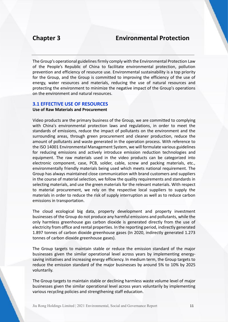# **Chapter 3 Environmental Protection**

The Group's operational guidelines firmly comply with the Environmental Protection Law of the People's Republic of China to facilitate environmental protection, pollution prevention and efficiency of resource use. Environmental sustainability is a top priority for the Group, and the Group is committed to improving the efficiency of the use of energy, water resources and materials, reducing the use of natural resources and protecting the environment to minimize the negative impact of the Group's operations on the environment and natural resources.

### **3.1 EFFECTIVE USE OF RESOURCES**

#### **Use of Raw Materials and Procurement**

Video products are the primary business of the Group, we are committed to complying with China's environmental protection laws and regulations, in order to meet the standards of emissions, reduce the impact of pollutants on the environment and the surrounding areas, through green procurement and cleaner production, reduce the amount of pollutants and waste generated in the operation process. With reference to the ISO 14001 Environmental Management System, we will formulate various guidelines for reducing emissions and actively introduce emission reduction technologies and equipment. The raw materials used in the video products can be categorized into electronic component, case, PCB, solder, cable, screw and packing materials, etc., environmentally friendly materials being used which meets national requirement. The Group has always maintained close communication with brand customers and suppliers in the course of material selection, we follow the quality requirements and standards in selecting materials, and use the green materials for the relevant materials. With respect to material procurement, we rely on the respective local suppliers to supply the materials in order to reduce the risk of supply interruption as well as to reduce carbon emissions in transportation.

The cloud ecological big data, property development and property investment businesses of the Group do not produce any harmful emissions and pollutants, while the only harmless greenhouse gas carbon dioxide is generated directly from the use of electricity from office and rental properties. In the reporting period, indirectly generated 1.897 tonnes of carbon dioxide greenhouse gases (In 2020, indirectly generated 1.273 tonnes of carbon dioxide greenhouse gases).

The Group targets to maintain stable or reduce the emission standard of the major businesses given the similar operational level across years by implementing energysaving initiatives and increasing energy efficiency. In medium term, the Group targets to reduce the emission standard of the major businesses by around 5% to 10% by 2025 voluntarily.

The Group targets to maintain stable or declining harmless waste volume level of major businesses given the similar operational level across years voluntarily by implementing various recycling policies and strengthening staff education.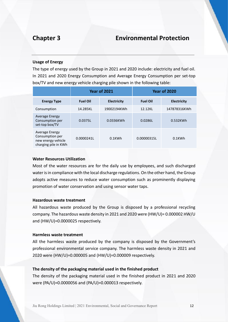# **Chapter 3 Environmental Protection**

#### **Usage of Energy**

The type of energy used by the Group in 2021 and 2020 include: electricity and fuel oil. In 2021 and 2020 Energy Consumption and Average Energy Consumption per set-top box/TV and new energy vehicle charging pile shown in the following table:

|                                                                                        | <b>Year of 2021</b> |                    |                 | <b>Year of 2020</b> |
|----------------------------------------------------------------------------------------|---------------------|--------------------|-----------------|---------------------|
| <b>Energy Type</b>                                                                     | <b>Fuel Oil</b>     | <b>Electricity</b> | <b>Fuel Oil</b> | <b>Electricity</b>  |
| Consumption                                                                            | 14.285KL            | 19002194KWh        | 12.12KL         | 147878316KWh        |
| <b>Average Energy</b><br>Consumption per<br>set-top box/TV                             | 0.0375L             | 0.0336KWh          | 0.0286L         | 0.532KWh            |
| <b>Average Energy</b><br>Consumption per<br>new energy vehicle<br>charging pile in KWh | 0.0000241L          | $0.1$ KWh          | 0.00000315L     | $0.1$ KWh           |

#### **Water Resources Utilization**

Most of the water resources are for the daily use by employees, and such discharged water is in compliance with the local discharge regulations. On the other hand, the Group adopts active measures to reduce water consumption such as prominently displaying promotion of water conservation and using sensor water taps.

#### **Hazardous waste treatment**

All hazardous waste produced by the Group is disposed by a professional recycling company. The hazardous waste density in 2021 and 2020 were (HW/U)= 0.000002 HW/U and (HW/U)=0.0000025 respectively.

#### **Harmless waste treatment**

All the harmless waste produced by the company is disposed by the Government's professional environmental service company. The harmless waste density in 2021 and 2020 were (HW/U)=0.000005 and (HW/U)=0.000009 respectively.

#### **The density of the packaging material used in the finished product**

The density of the packaging material used in the finished product in 2021 and 2020 were (PA/U)=0.0000056 and (PA/U)=0.000013 respectively.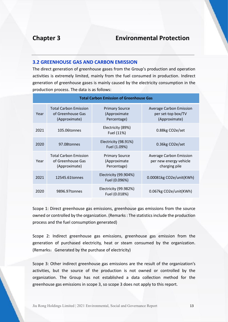### **3.2 GREENHOUSE GAS AND CARBON EMISSION**

The direct generation of greenhouse gases from the Group's production and operation activities is extremely limited, mainly from the fuel consumed in production. Indirect generation of greenhouse gases is mainly caused by the electricity consumption in the production process. The data is as follows:

| <b>Total Carbon Emission of Greenhouse Gas</b> |                                                                    |                                                      |                                                                       |  |
|------------------------------------------------|--------------------------------------------------------------------|------------------------------------------------------|-----------------------------------------------------------------------|--|
| Year                                           | <b>Total Carbon Emission</b><br>of Greenhouse Gas<br>(Approximate) | <b>Primary Source</b><br>(Approximate<br>Percentage) | <b>Average Carbon Emission</b><br>per set-top box/TV<br>(Approximate) |  |
| 2021                                           | 105.06tonnes                                                       | Electricity (89%)<br>Fuel (11%)                      | 0.88kg CO2e/set                                                       |  |
| 2020                                           | 97.08tonnes                                                        | Electricity (98.91%)<br>Fuel (1.09%)                 | 0.36kg CO2e/set                                                       |  |
| Year                                           | <b>Total Carbon Emission</b><br>of Greenhouse Gas<br>(Approximate) | <b>Primary Source</b><br>(Approximate<br>Percentage) | Average Carbon Emission<br>per new energy vehicle<br>charging pile    |  |
| 2021                                           | 12545.61 tonnes                                                    | Electricity (99.904%)<br>Fuel (0.096%)               | 0.00081kg CO2e/unit(KWh)                                              |  |
| 2020                                           | 9896.97tonnes                                                      | Electricity (99.982%)<br>Fuel (0.018%)               | 0.067kg CO2e/unit(KWh)                                                |  |

Scope 1: Direct greenhouse gas emissions, greenhouse gas emissions from the source owned or controlled by the organization. (Remarks : The statistics include the production process and the fuel consumption generated)

Scope 2: Indirect greenhouse gas emissions, greenhouse gas emission from the generation of purchased electricity, heat or steam consumed by the organization. (Remarks: Generated by the purchase of electricity)

Scope 3: Other indirect greenhouse gas emissions are the result of the organization's activities, but the source of the production is not owned or controlled by the organization. The Group has not established a data collection method for the greenhouse gas emissions in scope 3, so scope 3 does not apply to this report.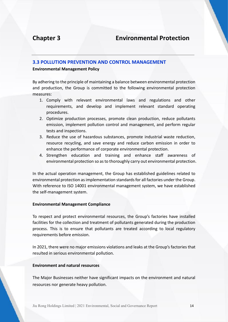# **Chapter 3 Environmental Protection**

### **3.3 POLLUTION PREVENTION AND CONTROL MANAGEMENT**

#### **Environmental Management Policy**

By adhering to the principle of maintaining a balance between environmental protection and production, the Group is committed to the following environmental protection measures:

- 1. Comply with relevant environmental laws and regulations and other requirements, and develop and implement relevant standard operating procedures.
- 2. Optimize production processes, promote clean production, reduce pollutants emission, implement pollution control and management, and perform regular tests and inspections.
- 3. Reduce the use of hazardous substances, promote industrial waste reduction, resource recycling, and save energy and reduce carbon emission in order to enhance the performance of corporate environmental protection.
- 4. Strengthen education and training and enhance staff awareness of environmental protection so as to thoroughly carry out environmental protection.

In the actual operation management, the Group has established guidelines related to environmental protection as implementation standards for all factories under the Group. With reference to ISO 14001 environmental management system, we have established the self-management system.

### **Environmental Management Compliance**

To respect and protect environmental resources, the Group's factories have installed facilities for the collection and treatment of pollutants generated during the production process. This is to ensure that pollutants are treated according to local regulatory requirements before emission.

In 2021, there were no major emissions violations and leaks at the Group's factories that resulted in serious environmental pollution.

### **Environment and natural resources**

The Major Businesses neither have significant impacts on the environment and natural resources nor generate heavy pollution.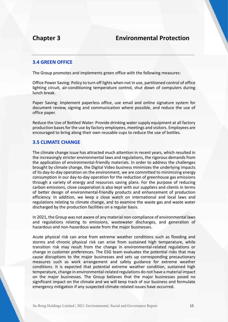### **3.4 GREEN OFFICE**

The Group promotes and implements green office with the following measures:

Office Power Saving: Policy to turn off lights when not in use, partitioned control of office lighting circuit, air-conditioning temperature control, shut down of computers during lunch break.

Paper Saving: Implement paperless office, use email and online signature system for document review, signing and communication where possible, and reduce the use of office paper.

Reduce the Use of Bottled Water: Provide drinking water supply equipment at all factory production bases for the use by factory employees, meetings and visitors. Employees are encouraged to bring along their own reusable cups to reduce the use of bottles.

### **3.5 CLIMATE CHANGE**

The climate change issue has attracted much attention in recent years, which resulted in the increasingly stricter environmental laws and regulations, the rigorous demands from the application of environmental-friendly materials. In order to address the challenges brought by climate change, the Digital Video business minimizes the underlying impacts of its day-to-day operation on the environment, we are committed to minimizing energy consumption in our day-to-day operation for the reduction of greenhouse gas emissions through a variety of energy and resources saving plans. For the purpose of reducing carbon emissions, close cooperation is also kept with our suppliers and clients in terms of better design of environmental-friendly products and enhancement of production efficiency. In addition, we keep a close watch on international and local laws and regulations relating to climate change, and to examine the waste gas and waste water discharged by the production facilities on a regular basis.

In 2021, the Group was not aware of any material non-compliance of environmental laws and regulations relating to emissions, wastewater discharges, and generation of hazardous and non-hazardous waste from the major businesses.

Acute physical risk can arise from extreme weather conditions such as flooding and storms and chronic physical risk can arise from sustained high temperature, while transition risk may result from the change in environmental-related regulations or change in customer preferences. The ESG team evaluates the potential risks that may cause disruptions to the major businesses and sets up corresponding precautionary measures such as work arrangement and safety guidance for extreme weather conditions. It is expected that potential extreme weather condition, sustained high temperature, change in environmental-related regulations do not have a material impact on the major businesses. The Group believes that the major businesses posed no significant impact on the climate and we will keep track of our business and formulate emergency mitigation if any suspected climate-related issues have occurred.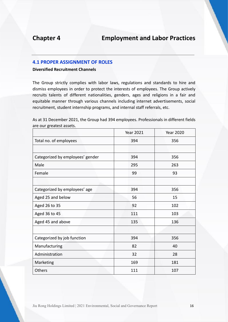### **4.1 PROPER ASSIGNMENT OF ROLES**

**Diversified Recruitment Channels**

The Group strictly complies with labor laws, regulations and standards to hire and dismiss employees in order to protect the interests of employees. The Group actively recruits talents of different nationalities, genders, ages and religions in a fair and equitable manner through various channels including internet advertisements, social recruitment, student internship programs, and internal staff referrals, etc.

|                                  | <b>Year 2021</b> | <b>Year 2020</b> |
|----------------------------------|------------------|------------------|
| Total no. of employees           | 394              | 356              |
|                                  |                  |                  |
| Categorized by employees' gender | 394              | 356              |
| Male                             | 295              | 263              |
| Female                           | 99               | 93               |
|                                  |                  |                  |
| Categorized by employees' age    | 394              | 356              |
| Aged 25 and below                | 56               | 15               |
| Aged 26 to 35                    | 92               | 102              |
| Aged 36 to 45                    | 111              | 103              |
| Aged 45 and above                | 135              | 136              |
|                                  |                  |                  |
| Categorized by job function      | 394              | 356              |
| Manufacturing                    | 82               | 40               |
| Administration                   | 32               | 28               |
| Marketing                        | 169              | 181              |
| Others                           | 111              | 107              |

As at 31 December 2021, the Group had 394 employees. Professionals in different fields are our greatest assets.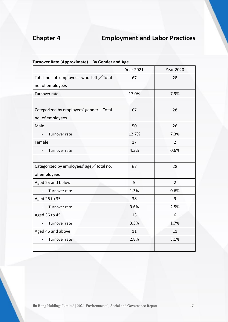|                                           | <b>Year 2021</b> | <b>Year 2020</b> |
|-------------------------------------------|------------------|------------------|
| Total no. of employees who left / Total   | 67               | 28               |
| no. of employees                          |                  |                  |
| Turnover rate                             | 17.0%            | 7.9%             |
|                                           |                  |                  |
| Categorized by employees' gender / Total  | 67               | 28               |
| no. of employees                          |                  |                  |
| Male                                      | 50               | 26               |
| Turnover rate                             | 12.7%            | 7.3%             |
| Female                                    | 17               | $\overline{2}$   |
| Turnover rate                             | 4.3%             | 0.6%             |
|                                           |                  |                  |
| Categorized by employees' age / Total no. | 67               | 28               |
| of employees                              |                  |                  |
| Aged 25 and below                         | 5                | $\overline{2}$   |
| Turnover rate                             | 1.3%             | 0.6%             |
| Aged 26 to 35                             | 38               | 9                |
| Turnover rate                             | 9.6%             | 2.5%             |
| Aged 36 to 45                             | 13               | 6                |
| Turnover rate                             | 3.3%             | 1.7%             |
| Aged 46 and above                         | 11               | 11               |
| Turnover rate                             | 2.8%             | 3.1%             |
|                                           |                  |                  |

### **Turnover Rate (Approximate) – By Gender and Age**

Jiu Rong Holdings Limited | 2021 Environmental, Social and Governance Report 17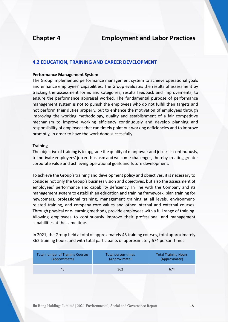### **4.2 EDUCATION, TRAINING AND CAREER DEVELOPMENT**

#### **Performance Management System**

The Group implemented performance management system to achieve operational goals and enhance employees' capabilities. The Group evaluates the results of assessment by tracking the assessment forms and categories, results feedback and improvements, to ensure the performance appraisal worked. The fundamental purpose of performance management system is not to punish the employees who do not fulfill their targets and not perform their duties properly, but to enhance the motivation of employees through improving the working methodology, quality and establishment of a fair competitive mechanism to improve working efficiency continuously and develop planning and responsibility of employees that can timely point out working deficiencies and to improve promptly, in order to have the work done successfully.

#### **Training**

The objective of training is to upgrade the quality of manpower and job skills continuously, to motivate employees' job enthusiasm and welcome challenges, thereby creating greater corporate value and achieving operational goals and future development.

To achieve the Group's training and development policy and objectives, it is necessary to consider not only the Group's business vision and objectives, but also the assessment of employees' performance and capability deficiency. In line with the Company and its management system to establish an education and training framework, plan training for newcomers, professional training, management training at all levels, environmentrelated training, and company core values and other internal and external courses. Through physical or e-learning methods, provide employees with a full range of training. Allowing employees to continuously improve their professional and management capabilities at the same time.

In 2021, the Group held a total of approximately 43 training courses, total approximately 362 training hours, and with total participants of approximately 674 person-times.

| <b>Total number of Training Courses</b> | Total person-times | <b>Total Training Hours</b> |
|-----------------------------------------|--------------------|-----------------------------|
| (Approximate)                           | (Approximate)      | (Approximate)               |
| 43                                      | 362                | 674                         |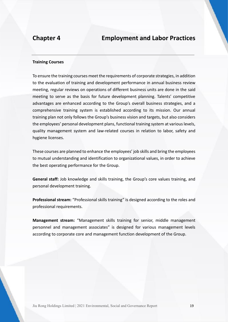#### **Training Courses**

To ensure the training courses meet the requirements of corporate strategies, in addition to the evaluation of training and development performance in annual business review meeting, regular reviews on operations of different business units are done in the said meeting to serve as the basis for future development planning. Talents' competitive advantages are enhanced according to the Group's overall business strategies, and a comprehensive training system is established according to its mission. Our annual training plan not only follows the Group's business vision and targets, but also considers the employees' personal development plans, functional training system at various levels, quality management system and law-related courses in relation to labor, safety and hygiene licenses.

These courses are planned to enhance the employees' job skills and bring the employees to mutual understanding and identification to organizational values, in order to achieve the best operating performance for the Group.

**General staff:** Job knowledge and skills training, the Group's core values training, and personal development training.

**Professional stream:** "Professional skills training" is designed according to the roles and professional requirements.

**Management stream:** "Management skills training for senior, middle management personnel and management associates" is designed for various management levels according to corporate core and management function development of the Group.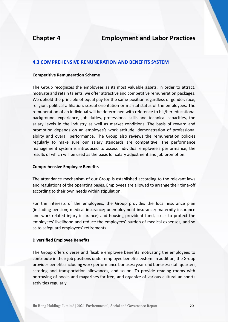### **4.3 COMPREHENSIVE RENUNERATION AND BENEFITS SYSTEM**

#### **Competitive Remuneration Scheme**

The Group recognizes the employees as its most valuable assets, in order to attract, motivate and retain talents, we offer attractive and competitive remuneration packages. We uphold the principle of equal pay for the same position regardless of gender, race, religion, political affiliation, sexual orientation or marital status of the employees. The remuneration of an individual will be determined with reference to his/her educational background, experience, job duties, professional skills and technical capacities, the salary levels in the industry as well as market conditions. The basis of reward and promotion depends on an employee's work attitude, demonstration of professional ability and overall performance. The Group also reviews the remuneration policies regularly to make sure our salary standards are competitive. The performance management system is introduced to assess individual employee's performance, the results of which will be used as the basis for salary adjustment and job promotion.

### **Comprehensive Employee Benefits**

The attendance mechanism of our Group is established according to the relevant laws and regulations of the operating bases. Employees are allowed to arrange their time-off according to their own needs within stipulation.

For the interests of the employees, the Group provides the local insurance plan (including pension; medical insurance; unemployment insurance; maternity insurance and work-related injury insurance) and housing provident fund, so as to protect the employees' livelihood and reduce the employees' burden of medical expenses, and so as to safeguard employees' retirements.

### **Diversified Employee Benefits**

The Group offers diverse and flexible employee benefits motivating the employees to contribute in their job positions under employee benefits system. In addition, the Group provides benefits including work performance bonuses; year-end bonuses; staff quarters, catering and transportation allowances, and so on. To provide reading rooms with borrowing of books and magazines for free; and organize of various cultural an sports activities regularly.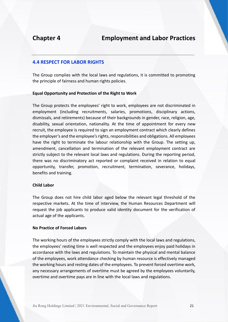### **4.4 RESPECT FOR LABOR RIGHTS**

The Group complies with the local laws and regulations, it is committed to promoting the principle of fairness and human rights policies.

### **Equal Opportunity and Protection of the Right to Work**

The Group protects the employees' right to work, employees are not discriminated in employment (including recruitments, salaries, promotions, disciplinary actions, dismissals, and retirements) because of their backgrounds in gender, race, religion, age, disability, sexual orientation, nationality. At the time of appointment for every new recruit, the employee is required to sign an employment contract which clearly defines the employer's and the employee's rights, responsibilities and obligations. All employees have the right to terminate the labour relationship with the Group. The setting up, amendment, cancellation and termination of the relevant employment contract are strictly subject to the relevant local laws and regulations. During the reporting period, there was no discriminatory act reported or complaint received in relation to equal opportunity, transfer, promotion, recruitment, termination, severance, holidays, benefits and training.

#### **Child Labor**

The Group does not hire child labor aged below the relevant legal threshold of the respective markets. At the time of interview, the Human Resources Department will request the job applicants to produce valid identity document for the verification of actual age of the applicants.

### **No Practice of Forced Labors**

The working hours of the employees strictly comply with the local laws and regulations, the employees' resting time is well respected and the employees enjoy paid holidays in accordance with the laws and regulations. To maintain the physical and mental balance of the employees, work attendance checking by human resource is effectively managed the working hours and resting dates of the employees. To prevent forced overtime work, any necessary arrangements of overtime must be agreed by the employees voluntarily, overtime and overtime pays are in line with the local laws and regulations.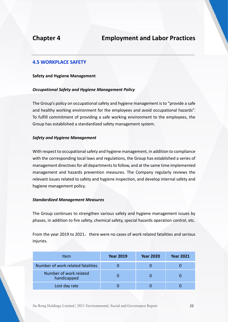### **4.5 WORKPLACE SAFETY**

#### **Safety and Hygiene Management**

### *Occupational Safety and Hygiene Management Policy*

The Group's policy on occupational safety and hygiene management is to "provide a safe and healthy working environment for the employees and avoid occupational hazards". To fulfill commitment of providing a safe working environment to the employees, the Group has established a standardized safety management system.

### *Safety and Hygiene Management*

With respect to occupational safety and hygiene management, in addition to compliance with the corresponding local laws and regulations, the Group has established a series of management directives for all departments to follow, and at the same time implemented management and hazards prevention measures. The Company regularly reviews the relevant issues related to safety and hygiene inspection, and develop internal safety and hygiene management policy.

#### *Standardized Management Measures*

The Group continues to strengthen various safety and hygiene management issues by phases, in addition to fire safety, chemical safety, special hazards operation control, etc.

From the year 2019 to 2021, there were no cases of work related fatalities and serious injuries.

| Item                                  | <b>Year 2019</b> | <b>Year 2020</b> | <b>Year 2021</b> |
|---------------------------------------|------------------|------------------|------------------|
| Number of work related fatalities     |                  |                  |                  |
| Number of work related<br>handicapped |                  |                  |                  |
| Lost day rate                         |                  |                  |                  |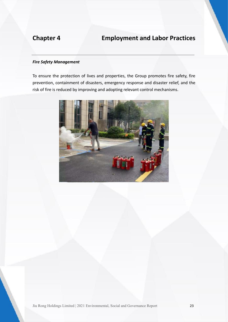### *Fire Safety Management*

To ensure the protection of lives and properties, the Group promotes fire safety, fire prevention, containment of disasters, emergency response and disaster relief, and the risk of fire is reduced by improving and adopting relevant control mechanisms.

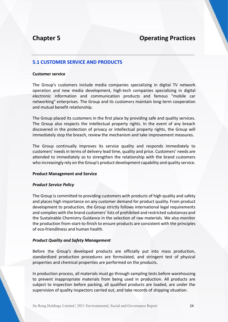# **Chapter 5 Operating Practices**

### **5.1 CUSTOMER SERVICE AND PRODUCTS**

#### **Customer service**

The Group's customers include media companies specializing in digital TV network operation and new media development, high-tech companies specializing in digital electronic information and communication products and famous "mobile car networking" enterprises. The Group and its customers maintain long-term cooperation and mutual benefit relationship.

The Group placed its customers in the first place by providing safe and quality services. The Group also respects the intellectual property rights. In the event of any breach discovered in the protection of privacy or intellectual property rights, the Group will immediately stop the breach, review the mechanism and take improvement measures.

The Group continually improves its service quality and responds immediately to customers' needs in terms of delivery lead time, quality and price. Customers' needs are attended to immediately so to strengthen the relationship with the brand customers who increasingly rely on the Group's product development capability and quality service.

#### **Product Management and Service**

#### *Product Service Policy*

The Group is committed to providing customers with products of high quality and safety and places high importance on any customer demand for product quality. From product development to production, the Group strictly follows international legal requirements and complies with the brand customers' lists of prohibited and restricted substances and the Sustainable Chemistry Guidance in the selection of raw materials. We also monitor the production from-start-to-finish to ensure products are consistent with the principles of eco-friendliness and human health.

#### *Product Quality and Safety Management*

Before the Group's developed products are officially put into mass production, standardized production procedures are formulated, and stringent test of physical properties and chemical properties are performed on the products.

In production process, all materials must go through sampling tests before warehousing to prevent inappropriate materials from being used in production. All products are subject to inspection before packing, all qualified products are loaded, are under the supervision of quality inspectors carried out, and take records of shipping situation.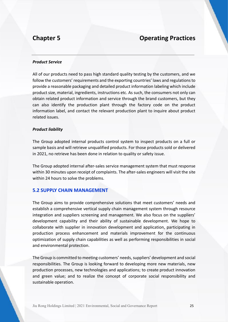# **Chapter 5 Chapter 5 Chapter 5 Chapter 5 Chapter 5 Chapter 5 Chapter 6 Chapter 6 Chapter 6 Chapter 6 Chapter 6 Chapter 6 Chapter 6 Chapter 6 Chapter 6 Chapter 6 Chapter 6 Chapter 6 Chapter 6 Chapter 6 Chapter 6 Chapter 6 C**

#### *Product Service*

All of our products need to pass high standard quality testing by the customers, and we follow the customers' requirements and the exporting countries' laws and regulations to provide a reasonable packaging and detailed product information labeling which include product size, material, ingredients, instructions etc. As such, the consumers not only can obtain related product information and service through the brand customers, but they can also identify the production plant through the factory code on the product information label, and contact the relevant production plant to inquire about product related issues.

#### *Product liability*

The Group adopted internal products control system to inspect products on a full or sample basis and will retrieve unqualified products. For those products sold or delivered in 2021, no retrieve has been done in relation to quality or safety issue.

The Group adopted internal after-sales service management system that must response within 30 minutes upon receipt of complaints. The after-sales engineers will visit the site within 24 hours to solve the problems.

### **5.2 SUPPLY CHAIN MANAGEMENT**

The Group aims to provide comprehensive solutions that meet customers' needs and establish a comprehensive vertical supply chain management system through resource integration and suppliers screening and management. We also focus on the suppliers' development capability and their ability of sustainable development. We hope to collaborate with supplier in innovation development and application, participating in production process enhancement and materials improvement for the continuous optimization of supply chain capabilities as well as performing responsibilities in social and environmental protection.

The Group is committed to meeting customers' needs, suppliers' development and social responsibilities. The Group is looking forward to developing more new materials, new production processes, new technologies and applications; to create product innovation and green value; and to realize the concept of corporate social responsibility and sustainable operation.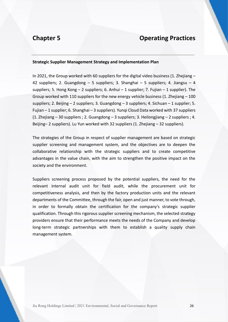# **Chapter 5 Operating Practices**

### **Strategic Supplier Management Strategy and Implementation Plan**

In 2021, the Group worked with 60 suppliers for the digital video business (1. Zhejiang – 42 suppliers; 2. Guangdong – 5 suppliers; 3. Shanghai – 5 suppliers; 4. Jiangsu – 4 suppliers; 5. Hong Kong  $-$  2 suppliers; 6. Anhui  $-$  1 supplier; 7. Fujian  $-$  1 supplier). The Group worked with 110 suppliers for the new energy vehicle business (1. Zhejiang – 100 suppliers; 2. Beijing – 2 suppliers; 3. Guangdong – 3 suppliers; 4. Sichuan – 1 supplier; 5. Fujian – 1 supplier; 6. Shanghai – 3 suppliers). Yunqi Cloud Data worked with 37 suppliers (1. Zhejiang – 30 suppliers ; 2. Guangdong – 3 suppliers; 3. Heilongjiang – 2 suppliers ; 4. Beijing– 2 suppliers). Lu Yun worked with 32 suppliers (1. Zhejiang – 32 suppliers).

The strategies of the Group in respect of supplier management are based on strategic supplier screening and management system, and the objectives are to deepen the collaborative relationship with the strategic suppliers and to create competitive advantages in the value chain, with the aim to strengthen the positive impact on the society and the environment.

Suppliers screening process proposed by the potential suppliers, the need for the relevant internal audit unit for field audit, while the procurement unit for competitiveness analysis, and then by the factory production units and the relevant departments of the Committee, through the fair, open and just manner, to vote through, in order to formally obtain the certification for the company's strategic supplier qualification. Through this rigorous supplier screening mechanism, the selected strategy providers ensure that their performance meets the needs of the Company and develop long-term strategic partnerships with them to establish a quality supply chain management system.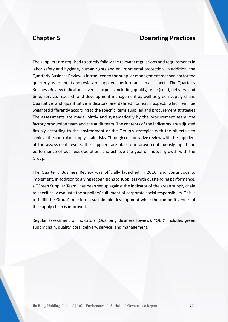# **Chapter 5 Chapter 5 Chapter 5 Chapter 5 Chapter 5 Chapter 5 Chapter 6 Chapter 6 Chapter 6 Chapter 6 Chapter 6 Chapter 6 Chapter 6 Chapter 6 Chapter 6 Chapter 6 Chapter 6 Chapter 6 Chapter 6 Chapter 6 Chapter 6 Chapter 6 C**

The suppliers are required to strictly follow the relevant regulations and requirements in labor safety and hygiene, human rights and environmental protection. In addition, the Quarterly Business Review is introduced to the supplier management mechanism for the quarterly assessment and review of suppliers' performance in all aspects. The Quarterly Business Review indicators cover six aspects including quality, price (cost), delivery lead time, service, research and development management as well as green supply chain. Qualitative and quantitative indicators are defined for each aspect, which will be weighted differently according to the specific items supplied and procurement strategies. The assessments are made jointly and systematically by the procurement team, the factory production team and the audit team. The contents of the indicators are adjusted flexibly according to the environment or the Group's strategies with the objective to achieve the control of supply chain risks. Through collaborative review with the suppliers of the assessment results, the suppliers are able to improve continuously, uplift the performance of business operation, and achieve the goal of mutual growth with the Group.

The Quarterly Business Review was officially launched in 2016, and continuous to implement, in addition to giving recognitions to suppliers with outstanding performance, a "Green Supplier Team" has been set up against the indicator of the green supply chain to specifically evaluate the suppliers' fulfilment of corporate social responsibility. This is to fulfill the Group's mission in sustainable development while the competitiveness of the supply chain is improved.

Regular assessment of indicators (Quarterly Business Review): "QBR" includes green supply chain, quality, cost, delivery, service, and management.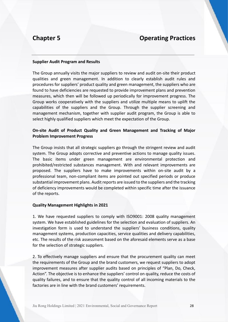# **Chapter 5 Chapter 5 Chapter 5 Chapter 5 Chapter 5 Chapter 5 Chapter 6 Chapter 6 Chapter 6 Chapter 6 Chapter 6 Chapter 6 Chapter 6 Chapter 6 Chapter 6 Chapter 6 Chapter 6 Chapter 6 Chapter 6 Chapter 6 Chapter 6 Chapter 6 C**

#### **Supplier Audit Program and Results**

The Group annually visits the major suppliers to review and audit on-site their product qualities and green management. In addition to clearly establish audit rules and procedures for suppliers' product quality and green management, the suppliers who are found to have deficiencies are requested to provide improvement plans and prevention measures, which then will be followed up periodically for improvement progress. The Group works cooperatively with the suppliers and utilize multiple means to uplift the capabilities of the suppliers and the Group. Through the supplier screening and management mechanism, together with supplier audit program, the Group is able to select highly qualified suppliers which meet the expectation of the Group.

### **On-site Audit of Product Quality and Green Management and Tracking of Major Problem Improvement Progress**

The Group insists that all strategic suppliers go through the stringent review and audit system. The Group adopts corrective and preventive actions to manage quality issues. The basic items under green management are environmental protection and prohibited/restricted substances management. With and relevant improvements are proposed. The suppliers have to make improvements within on-site audit by a professional team, non-compliant items are pointed out specified periods or produce substantial improvement plans. Audit reports are issued to the suppliers and the tracking of deficiency improvements would be completed within specific time after the issuance of the reports.

#### **Quality Management Highlights in 2021**

1. We have requested suppliers to comply with ISO9001: 2008 quality management system. We have established guidelines for the selection and evaluation of suppliers. An investigation form is used to understand the suppliers' business conditions, quality management systems, production capacities, service qualities and delivery capabilities, etc. The results of the risk assessment based on the aforesaid elements serve as a base for the selection of strategic suppliers.

2. To effectively manage suppliers and ensure that the procurement quality can meet the requirements of the Group and the brand customers, we request suppliers to adopt improvement measures after supplier audits based on principles of "Plan, Do, Check, Action". The objective is to enhance the suppliers' control on quality, reduce the costs of quality failures, and to ensure that the quality control of all incoming materials to the factories are in line with the brand customers' requirements.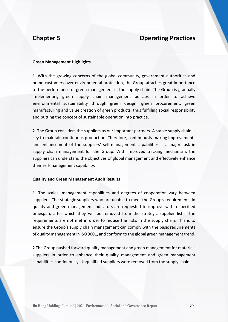# **Chapter 5 Operating Practices**

#### **Green Management Highlights**

1. With the growing concerns of the global community, government authorities and brand customers over environmental protection, the Group attaches great importance to the performance of green management in the supply chain. The Group is gradually implementing green supply chain management policies in order to achieve environmental sustainability through green design, green procurement, green manufacturing and value creation of green products, thus fulfilling social responsibility and putting the concept of sustainable operation into practice.

2. The Group considers the suppliers as our important partners. A stable supply chain is key to maintain continuous production. Therefore, continuously making improvements and enhancement of the suppliers' self-management capabilities is a major task in supply chain management for the Group. With improved tracking mechanism, the suppliers can understand the objectives of global management and effectively enhance their self-management capability.

#### **Quality and Green Management Audit Results**

1. The scales, management capabilities and degrees of cooperation vary between suppliers. The strategic suppliers who are unable to meet the Group's requirements in quality and green management indicators are requested to improve within specified timespan, after which they will be removed from the strategic supplier list if the requirements are not met in order to reduce the risks in the supply chain. This is to ensure the Group's supply chain management can comply with the basic requirements of quality management in ISO 9001, and conform to the global green management trend.

2.The Group pushed forward quality management and green management for materials suppliers in order to enhance their quality management and green management capabilities continuously. Unqualified suppliers were removed from the supply chain.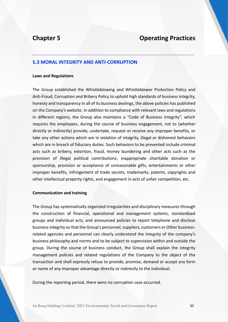# **Chapter 5 Operating Practices**

### **5.3 MORAL INTEGRITY AND ANTI-CORRUPTION**

#### **Laws and Regulations**

The Group established the Whistleblowing and Whistleblower Protection Policy and Anti-Fraud, Corruption and Bribery Policy to uphold high standards of business integrity, honesty and transparency in all of its business dealings, the above policies has published on the Company's website. In addition to compliance with relevant laws and regulations in different regions, the Group also maintains a "Code of Business Integrity", which requires the employees, during the course of business engagement, not to (whether directly or indirectly) provide, undertake, request or receive any improper benefits, or take any other actions which are in violation of integrity, illegal or dishonest behaviors which are in breach of fiduciary duties. Such behaviors to be prevented include criminal acts such as bribery, extortion, fraud, money laundering and other acts such as the provision of illegal political contributions, inappropriate charitable donation or sponsorship, provision or acceptance of unreasonable gifts, entertainments or other improper benefits, infringement of trade secrets, trademarks, patents, copyrights and other intellectual property rights, and engagement in acts of unfair competition, etc.

#### **Communication and training**

The Group has systematically organized irregularities and disciplinary measures through the construction of financial, operational and management systems, standardized groups and individual acts, and announced policies to report telephone and disclose business integrity so that the Group's personnel, suppliers, customers or Other businessrelated agencies and personnel can clearly understand the integrity of the company's business philosophy and norms and to be subject to supervision within and outside the group. During the course of business conduct, the Group shall explain the integrity management policies and related regulations of the Company to the object of the transaction and shall expressly refuse to provide, promise, demand or accept any form or name of any improper advantage directly or indirectly to the individual.

During the reporting period, there were no corruption case occurred.

Jiu Rong Holdings Limited | 2021 Environmental, Social and Governance Report 30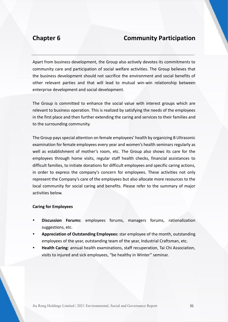Apart from business development, the Group also actively devotes its commitments to community care and participation of social welfare activities. The Group believes that the business development should not sacrifice the environment and social benefits of other relevant parties and that will lead to mutual win-win relationship between enterprise development and social development.

The Group is committed to enhance the social value with interest groups which are relevant to business operation. This is realized by satisfying the needs of the employees in the first place and then further extending the caring and services to their families and to the surrounding community.

The Group pays special attention on female employees' health by organizing B Ultrasonic examination for female employees every year and women's health seminars regularly as well as establishment of mother's room, etc. The Group also shows its care for the employees through home visits, regular staff health checks, financial assistances to difficult families, to initiate donations for difficult employees and specific caring actions, in order to express the company's concern for employees. These activities not only represent the Company's care of the employees but also allocate more resources to the local community for social caring and benefits. Please refer to the summary of major activities below.

#### **Caring for Employees**

- **Discussion Forums:** employees forums, managers forums, rationalization suggestions, etc.
- **Appreciation of Outstanding Employees:** star employee of the month, outstanding employees of the year, outstanding team of the year, Industrial Craftsman, etc.
- **Health Caring**: annual health examinations, staff recuperation, Tai Chi Association, visits to injured and sick employees, "be healthy in Winter" seminar.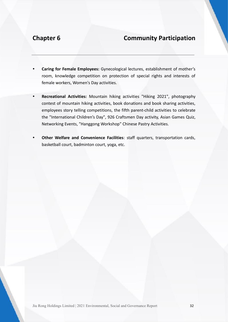- **Caring for Female Employees:** Gynecological lectures, establishment of mother's room, knowledge competition on protection of special rights and interests of female workers, Women's Day activities.
- **Recreational Activities:** Mountain hiking activities "Hiking 2021", photography contest of mountain hiking activities, book donations and book sharing activities, employees story telling competitions, the fifth parent-child activities to celebrate the "International Children's Day", 926 Craftsmen Day activity, Asian Games Quiz, Networking Events, "Hanggong Workshop" Chinese Pastry Activities.
- **Other Welfare and Convenience Facilities**: staff quarters, transportation cards, basketball court, badminton court, yoga, etc.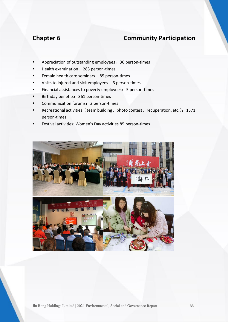- Appreciation of outstanding employees: 36 person-times
- Health examination:283 person-times
- Female health care seminars: 85 person-times
- Visits to injured and sick employees:3 person-times
- Financial assistances to poverty employees: 5 person-times
- Birthday benefits: 361 person-times
- Communication forums: 2 person-times
- Recreational activities (team building, photo contest, recuperation, etc.): 1371 person-times
- Festival activities: Women's Day activities 85 person-times

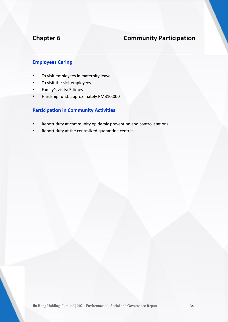# **Employees Caring**

- To visit employees in maternity leave
- To visit the sick employees
- Family's visits: 5 times
- Hardship fund: approximately RMB10,000

## **Participation in Community Activities**

- Report duty at community epidemic prevention and control stations
- Report duty at the centralized quarantine centres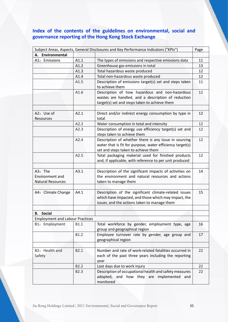# **Index of the contents of the guidelines on environmental, social and governance reporting of the Hong Kong Stock Exchange**

|                                                 |                  | Subject Areas, Aspects, General Disclosures and Key Performance Indicators ("KPIs")                                                                           | Page |
|-------------------------------------------------|------------------|---------------------------------------------------------------------------------------------------------------------------------------------------------------|------|
| A. Environmental                                |                  |                                                                                                                                                               |      |
| A1: Emissions                                   | A1.1             | The types of emissions and respective emissions data                                                                                                          | 11   |
|                                                 | A1.2             | Greenhouse gas emissions in total                                                                                                                             | 13   |
|                                                 | A1.3             | Total hazardous waste produced                                                                                                                                | 12   |
|                                                 | A1.4             | Total non-hazardous waste produced                                                                                                                            | 12   |
|                                                 | A1.5             | Description of emissions target(s) set and steps taken<br>to achieve them                                                                                     | 11   |
|                                                 | A1.6             | Description of how hazardous and non-hazardous<br>wastes are handled, and a description of reduction<br>target(s) set and steps taken to achieve them         | 12   |
| A2: Use of<br>Resources                         | A2.1             | Direct and/or indirect energy consumption by type in<br>total                                                                                                 | 12   |
|                                                 | A2.2             | Water consumption in total and intensity                                                                                                                      | 12   |
|                                                 | A2.3             | Description of energy use efficiency target(s) set and<br>steps taken to achieve them                                                                         | 12   |
|                                                 | A2.4             | Description of whether there is any issue in sourcing<br>water that is fit for purpose, water efficiency target(s)<br>set and steps taken to achieve them     | 12   |
|                                                 | A2.5             | Total packaging material used for finished products<br>and, if applicable, with reference to per unit produced                                                | 12   |
|                                                 |                  |                                                                                                                                                               |      |
| A3: The<br>Environment and<br>Natural Resources | A3.1             | Description of the significant impacts of activities on<br>the environment and natural resources and actions<br>taken to manage them                          | 14   |
|                                                 |                  |                                                                                                                                                               |      |
| A4: Climate Change                              | A4.1             | Description of the significant climate-related issues<br>which have impacted, and those which may impact, the<br>issuer, and the actions taken to manage them | 15   |
|                                                 |                  |                                                                                                                                                               |      |
| <b>B.</b> Social                                |                  |                                                                                                                                                               |      |
| <b>Employment and Labour Practices</b>          |                  |                                                                                                                                                               |      |
| B1: Employment                                  | B1.1             | Total workforce by gender, employment type, age<br>group and geographical region                                                                              | 16   |
|                                                 | <b>B1.2</b>      | Employee turnover rate by gender, age group and<br>geographical region                                                                                        | 17   |
|                                                 |                  |                                                                                                                                                               |      |
| B2: Health and<br>Safety                        | B <sub>2.1</sub> | Number and rate of work-related fatalities occurred in<br>each of the past three years including the reporting<br>year                                        | 22   |
|                                                 | B <sub>2.2</sub> | Lost days due to work injury                                                                                                                                  | 22   |
|                                                 | <b>B2.3</b>      | Description of occupational health and safety measures<br>adopted, and how they are implemented<br>and<br>monitored                                           | 22   |